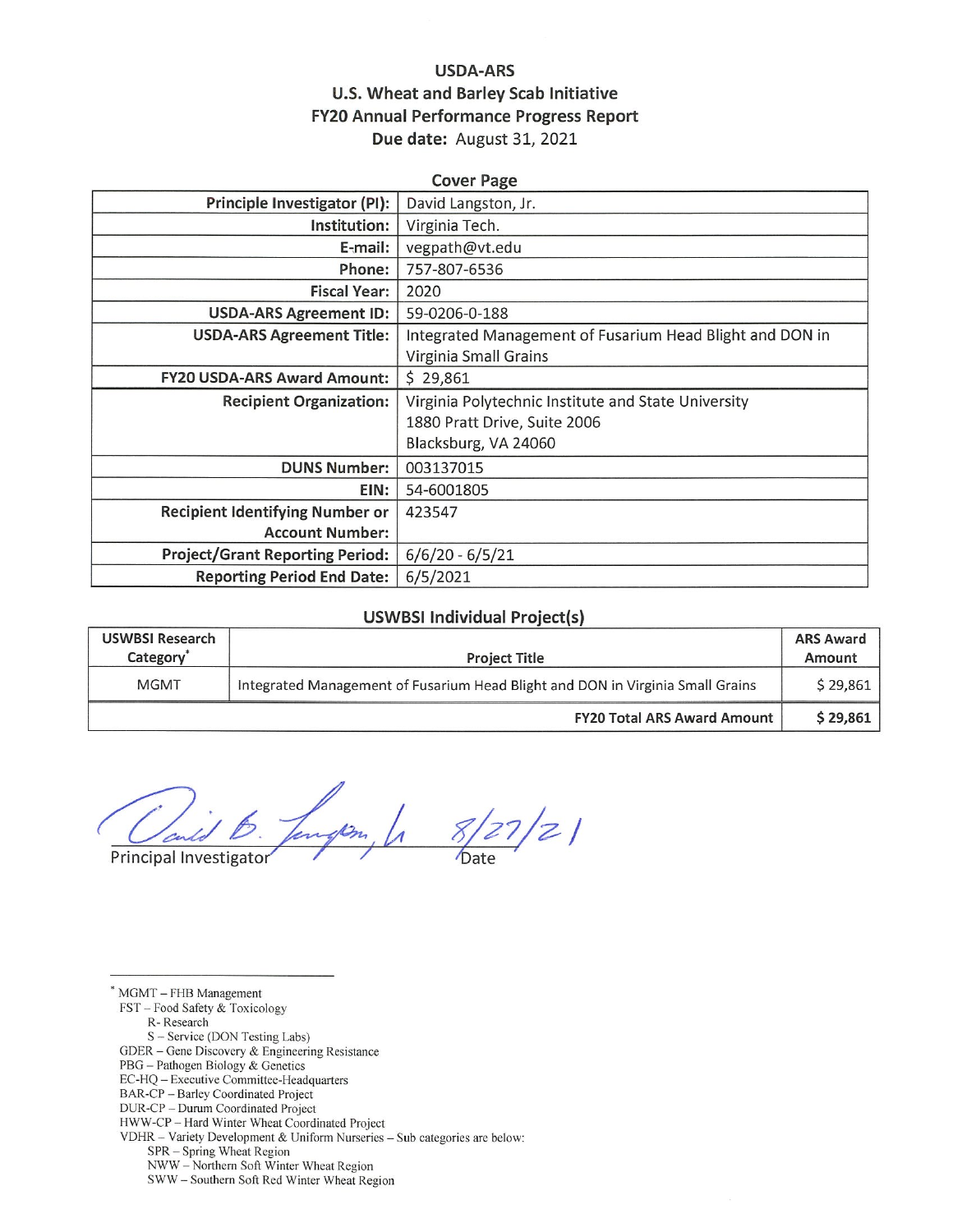## **USDA-ARS** U.S. Wheat and Barley Scab Initiative **FY20 Annual Performance Progress Report** Due date: August 31, 2021

| <b>Cover Page</b>                      |                                                          |  |  |  |
|----------------------------------------|----------------------------------------------------------|--|--|--|
| Principle Investigator (PI):           | David Langston, Jr.                                      |  |  |  |
| Institution:                           | Virginia Tech.                                           |  |  |  |
| E-mail:                                | vegpath@vt.edu                                           |  |  |  |
| Phone:                                 | 757-807-6536                                             |  |  |  |
| <b>Fiscal Year:</b>                    | 2020                                                     |  |  |  |
| <b>USDA-ARS Agreement ID:</b>          | 59-0206-0-188                                            |  |  |  |
| <b>USDA-ARS Agreement Title:</b>       | Integrated Management of Fusarium Head Blight and DON in |  |  |  |
|                                        | Virginia Small Grains                                    |  |  |  |
| <b>FY20 USDA-ARS Award Amount:</b>     | \$29,861                                                 |  |  |  |
| <b>Recipient Organization:</b>         | Virginia Polytechnic Institute and State University      |  |  |  |
|                                        | 1880 Pratt Drive, Suite 2006                             |  |  |  |
|                                        | Blacksburg, VA 24060                                     |  |  |  |
| <b>DUNS Number:</b>                    | 003137015                                                |  |  |  |
| EIN:                                   | 54-6001805                                               |  |  |  |
| <b>Recipient Identifying Number or</b> | 423547                                                   |  |  |  |
| <b>Account Number:</b>                 |                                                          |  |  |  |
| <b>Project/Grant Reporting Period:</b> | $6/6/20 - 6/5/21$                                        |  |  |  |
| <b>Reporting Period End Date:</b>      | 6/5/2021                                                 |  |  |  |

#### **USWBSI Individual Project(s)**

| <b>USWBSI Research</b><br>Category <sup>'</sup> | <b>Project Title</b>                                                           | <b>ARS Award</b><br>Amount |
|-------------------------------------------------|--------------------------------------------------------------------------------|----------------------------|
| <b>MGMT</b>                                     | Integrated Management of Fusarium Head Blight and DON in Virginia Small Grains |                            |
|                                                 | <b>FY20 Total ARS Award Amount</b>                                             | \$29,861                   |

 $\frac{1}{2}$  $\frac{1}{z}$  $\mathscr{P}_n$ 

Principal Investigator

 $*$  MGMT  $-$  FHB Management FST - Food Safety & Toxicology R-Research S - Service (DON Testing Labs) GDER – Gene Discovery & Engineering Resistance PBG - Pathogen Biology & Genetics EC-HQ - Executive Committee-Headquarters BAR-CP - Barley Coordinated Project DUR-CP - Durum Coordinated Project HWW-CP - Hard Winter Wheat Coordinated Project VDHR - Variety Development & Uniform Nurseries - Sub categories are below: SPR - Spring Wheat Region NWW - Northern Soft Winter Wheat Region SWW-Southern Soft Red Winter Wheat Region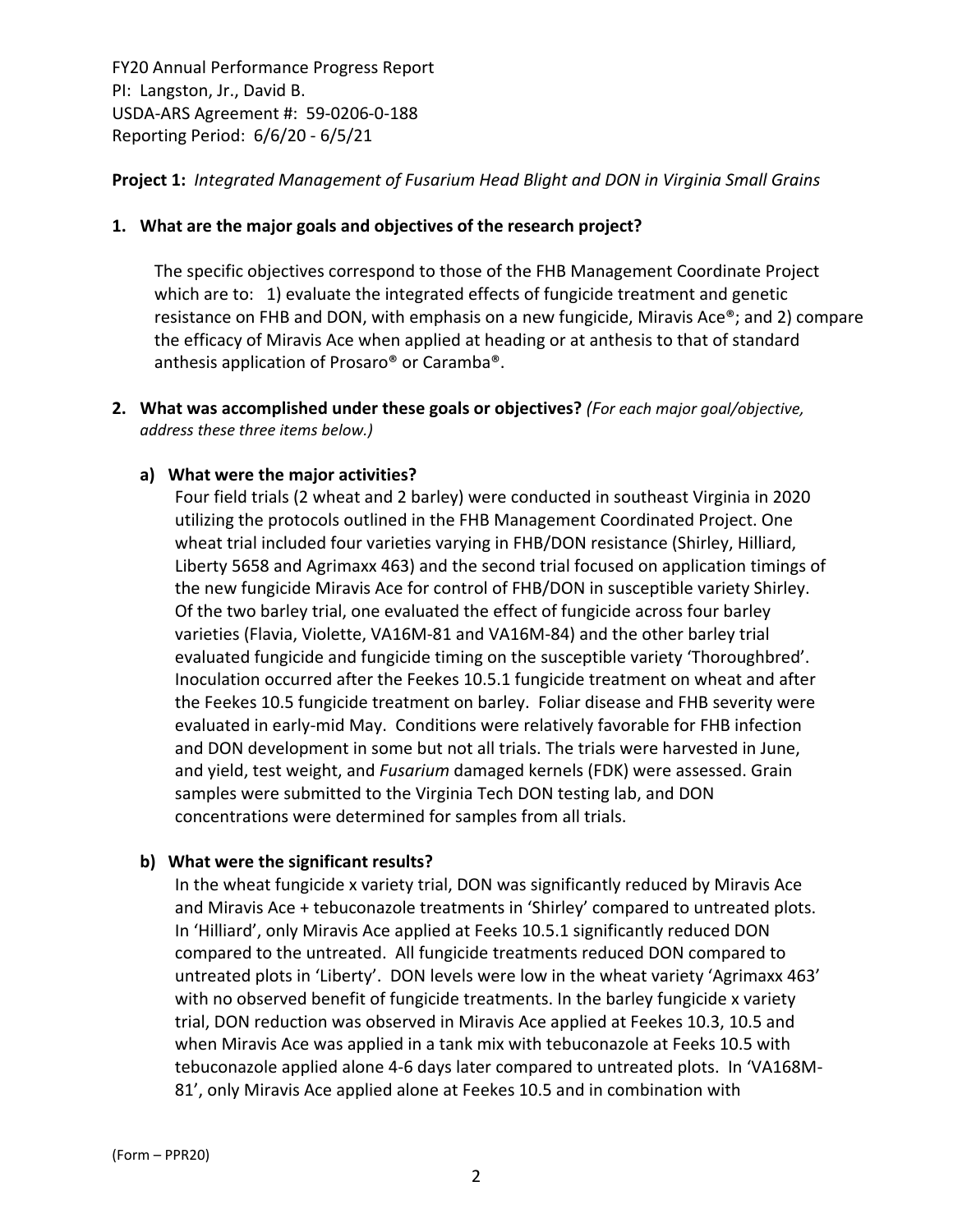## **Project 1:** *Integrated Management of Fusarium Head Blight and DON in Virginia Small Grains*

### **1. What are the major goals and objectives of the research project?**

The specific objectives correspond to those of the FHB Management Coordinate Project which are to: 1) evaluate the integrated effects of fungicide treatment and genetic resistance on FHB and DON, with emphasis on a new fungicide, Miravis Ace®; and 2) compare the efficacy of Miravis Ace when applied at heading or at anthesis to that of standard anthesis application of Prosaro® or Caramba®.

**2. What was accomplished under these goals or objectives?** *(For each major goal/objective, address these three items below.)*

### **a) What were the major activities?**

Four field trials (2 wheat and 2 barley) were conducted in southeast Virginia in 2020 utilizing the protocols outlined in the FHB Management Coordinated Project. One wheat trial included four varieties varying in FHB/DON resistance (Shirley, Hilliard, Liberty 5658 and Agrimaxx 463) and the second trial focused on application timings of the new fungicide Miravis Ace for control of FHB/DON in susceptible variety Shirley. Of the two barley trial, one evaluated the effect of fungicide across four barley varieties (Flavia, Violette, VA16M‐81 and VA16M‐84) and the other barley trial evaluated fungicide and fungicide timing on the susceptible variety 'Thoroughbred'. Inoculation occurred after the Feekes 10.5.1 fungicide treatment on wheat and after the Feekes 10.5 fungicide treatment on barley. Foliar disease and FHB severity were evaluated in early‐mid May. Conditions were relatively favorable for FHB infection and DON development in some but not all trials. The trials were harvested in June, and yield, test weight, and *Fusarium* damaged kernels (FDK) were assessed. Grain samples were submitted to the Virginia Tech DON testing lab, and DON concentrations were determined for samples from all trials.

#### **b) What were the significant results?**

In the wheat fungicide x variety trial, DON was significantly reduced by Miravis Ace and Miravis Ace + tebuconazole treatments in 'Shirley' compared to untreated plots. In 'Hilliard', only Miravis Ace applied at Feeks 10.5.1 significantly reduced DON compared to the untreated. All fungicide treatments reduced DON compared to untreated plots in 'Liberty'. DON levels were low in the wheat variety 'Agrimaxx 463' with no observed benefit of fungicide treatments. In the barley fungicide x variety trial, DON reduction was observed in Miravis Ace applied at Feekes 10.3, 10.5 and when Miravis Ace was applied in a tank mix with tebuconazole at Feeks 10.5 with tebuconazole applied alone 4‐6 days later compared to untreated plots. In 'VA168M‐ 81', only Miravis Ace applied alone at Feekes 10.5 and in combination with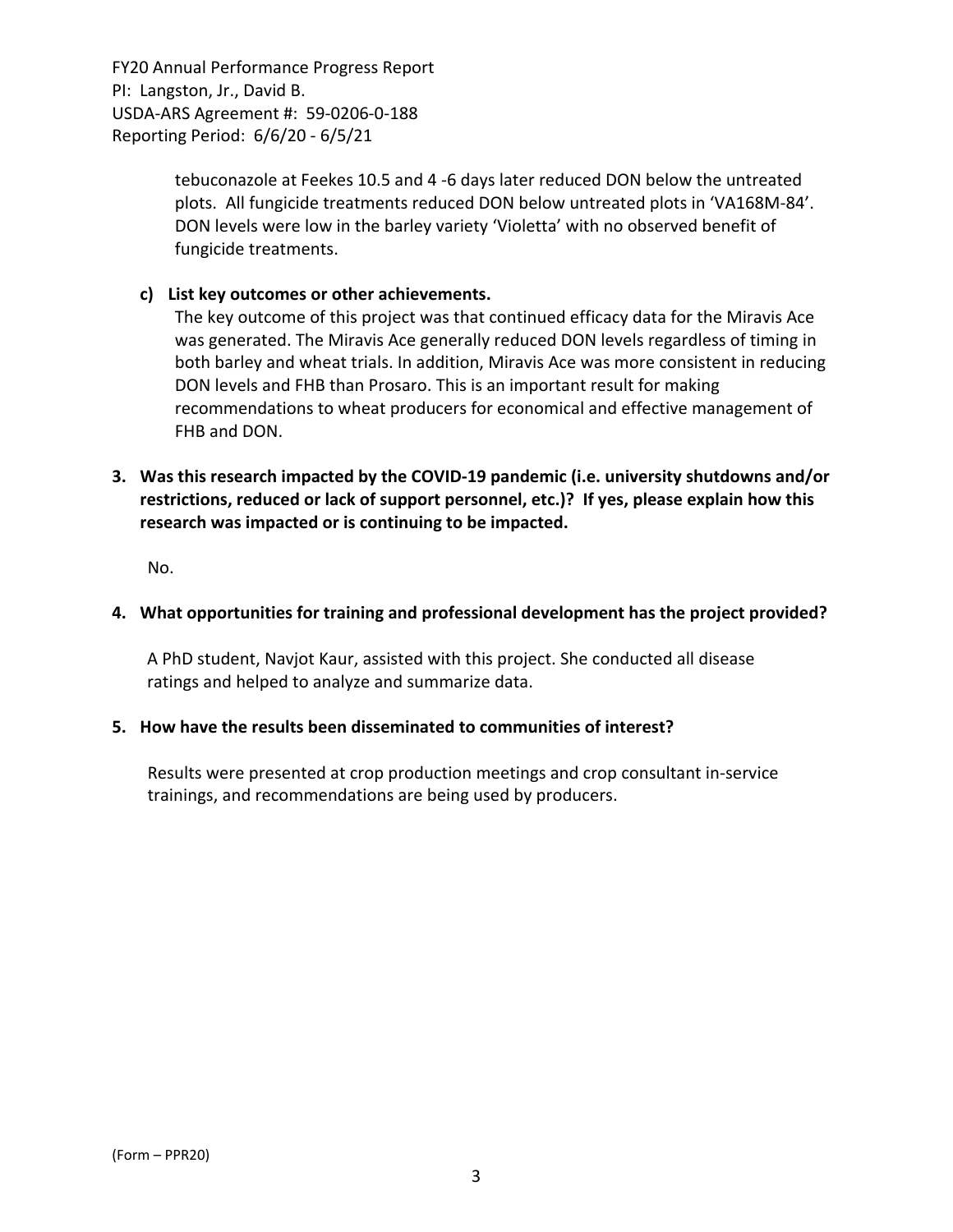> tebuconazole at Feekes 10.5 and 4 ‐6 days later reduced DON below the untreated plots. All fungicide treatments reduced DON below untreated plots in 'VA168M‐84'. DON levels were low in the barley variety 'Violetta' with no observed benefit of fungicide treatments.

## **c) List key outcomes or other achievements.**

The key outcome of this project was that continued efficacy data for the Miravis Ace was generated. The Miravis Ace generally reduced DON levels regardless of timing in both barley and wheat trials. In addition, Miravis Ace was more consistent in reducing DON levels and FHB than Prosaro. This is an important result for making recommendations to wheat producers for economical and effective management of FHB and DON.

**3. Was this research impacted by the COVID‐19 pandemic (i.e. university shutdowns and/or restrictions, reduced or lack of support personnel, etc.)? If yes, please explain how this research was impacted or is continuing to be impacted.**

No.

### **4. What opportunities for training and professional development has the project provided?**

A PhD student, Navjot Kaur, assisted with this project. She conducted all disease ratings and helped to analyze and summarize data.

#### **5. How have the results been disseminated to communities of interest?**

Results were presented at crop production meetings and crop consultant in‐service trainings, and recommendations are being used by producers.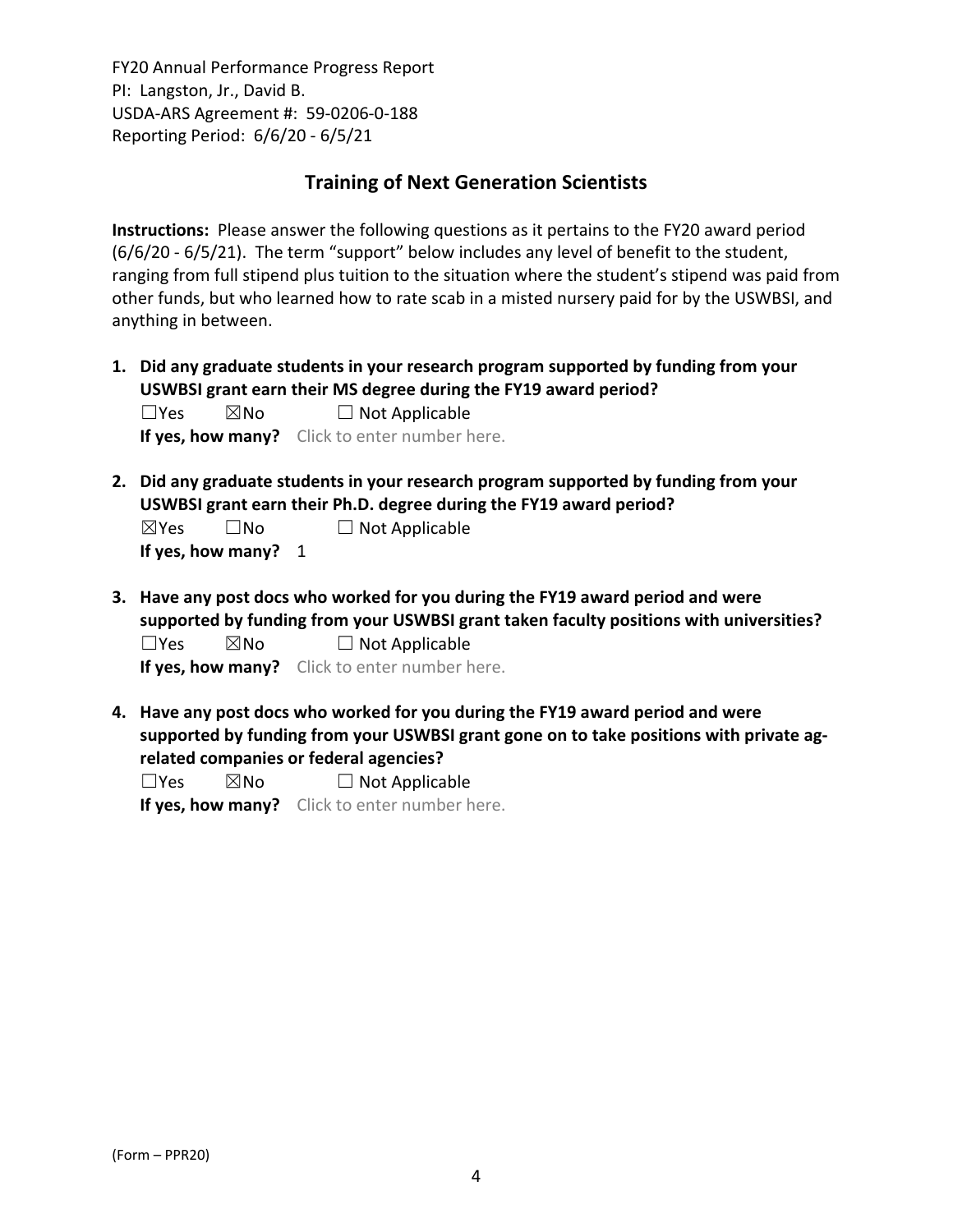## **Training of Next Generation Scientists**

**Instructions:** Please answer the following questions as it pertains to the FY20 award period (6/6/20 ‐ 6/5/21). The term "support" below includes any level of benefit to the student, ranging from full stipend plus tuition to the situation where the student's stipend was paid from other funds, but who learned how to rate scab in a misted nursery paid for by the USWBSI, and anything in between.

**1. Did any graduate students in your research program supported by funding from your USWBSI grant earn their MS degree during the FY19 award period?**  $\Box$ Yes  $\boxtimes$ No  $\Box$  Not Applicable

**If yes, how many?** Click to enter number here.

**2. Did any graduate students in your research program supported by funding from your USWBSI grant earn their Ph.D. degree during the FY19 award period?**

| $\boxtimes$ Yes | $\square$ No      | $\Box$ Not Applicable |
|-----------------|-------------------|-----------------------|
|                 | If yes, how many? |                       |

**3. Have any post docs who worked for you during the FY19 award period and were supported by funding from your USWBSI grant taken faculty positions with universities?**  $\Box$ Yes  $\boxtimes$ No  $\Box$  Not Applicable

**If yes, how many?** Click to enter number here.

**4. Have any post docs who worked for you during the FY19 award period and were supported by funding from your USWBSI grant gone on to take positions with private ag‐ related companies or federal agencies?**

 $\square$ Yes  $\square$ No  $\square$  Not Applicable

**If yes, how many?** Click to enter number here.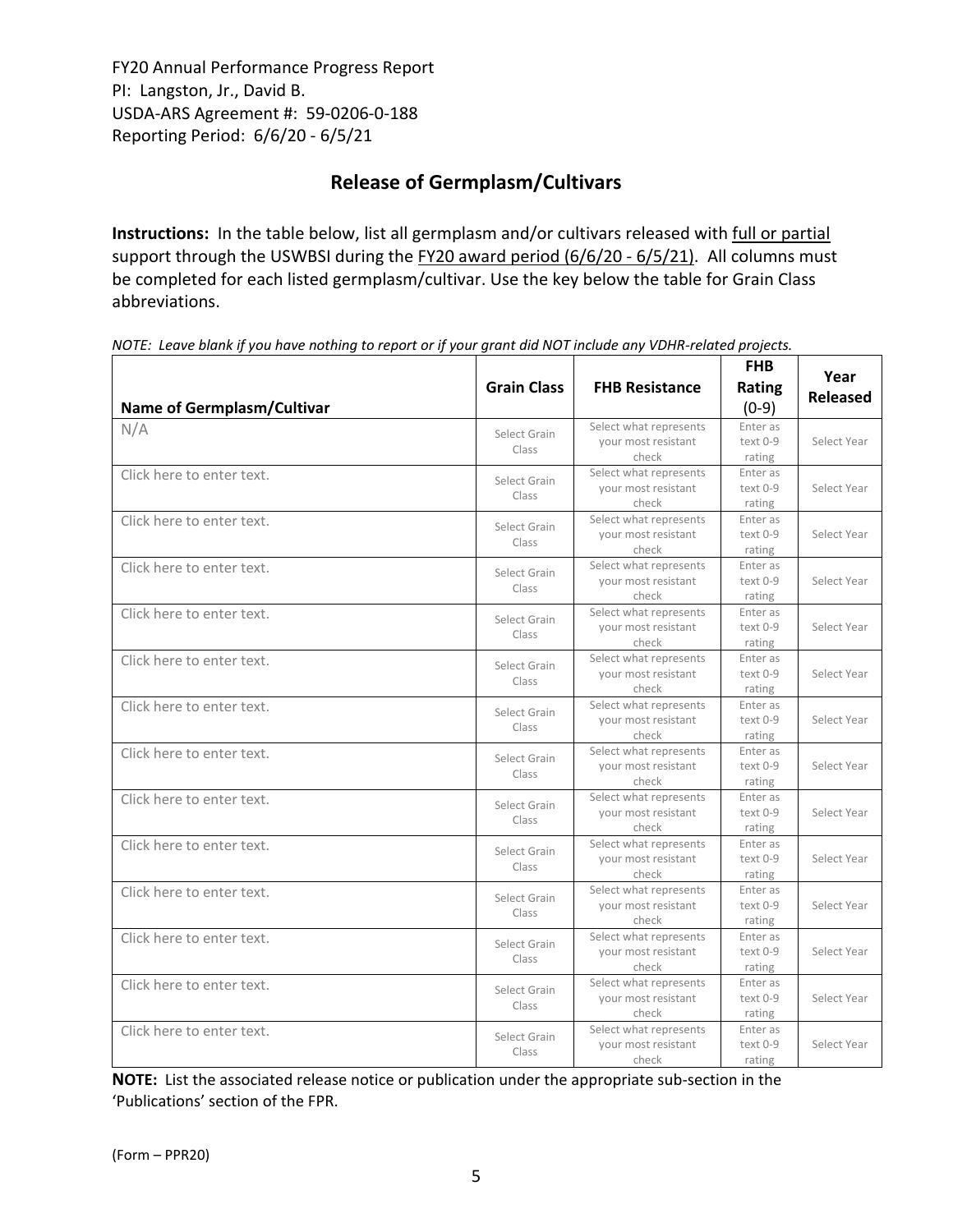# **Release of Germplasm/Cultivars**

**Instructions:** In the table below, list all germplasm and/or cultivars released with full or partial support through the USWBSI during the FY20 award period (6/6/20 - 6/5/21). All columns must be completed for each listed germplasm/cultivar. Use the key below the table for Grain Class abbreviations. 

NOTE: Leave blank if you have nothing to report or if your grant did NOT include any VDHR-related projects.

| <b>Name of Germplasm/Cultivar</b> | <b>Grain Class</b>    | <b>FHB Resistance</b>                                  | <b>FHB</b><br><b>Rating</b><br>$(0-9)$ | Year<br>Released |
|-----------------------------------|-----------------------|--------------------------------------------------------|----------------------------------------|------------------|
| N/A                               | Select Grain<br>Class | Select what represents<br>your most resistant<br>check | Enter as<br>text 0-9<br>rating         | Select Year      |
| Click here to enter text.         | Select Grain<br>Class | Select what represents<br>your most resistant<br>check | Enter as<br>text 0-9<br>rating         | Select Year      |
| Click here to enter text.         | Select Grain<br>Class | Select what represents<br>your most resistant<br>check | Enter as<br>text 0-9<br>rating         | Select Year      |
| Click here to enter text.         | Select Grain<br>Class | Select what represents<br>your most resistant<br>check | Enter as<br>text 0-9<br>rating         | Select Year      |
| Click here to enter text.         | Select Grain<br>Class | Select what represents<br>your most resistant<br>check | Enter as<br>text 0-9<br>rating         | Select Year      |
| Click here to enter text.         | Select Grain<br>Class | Select what represents<br>your most resistant<br>check | Enter as<br>text 0-9<br>rating         | Select Year      |
| Click here to enter text.         | Select Grain<br>Class | Select what represents<br>your most resistant<br>check | Enter as<br>text 0-9<br>rating         | Select Year      |
| Click here to enter text.         | Select Grain<br>Class | Select what represents<br>your most resistant<br>check | Enter as<br>text 0-9<br>rating         | Select Year      |
| Click here to enter text.         | Select Grain<br>Class | Select what represents<br>your most resistant<br>check | Enter as<br>text 0-9<br>rating         | Select Year      |
| Click here to enter text.         | Select Grain<br>Class | Select what represents<br>vour most resistant<br>check | Enter as<br>text 0-9<br>rating         | Select Year      |
| Click here to enter text.         | Select Grain<br>Class | Select what represents<br>your most resistant<br>check | Enter as<br>text 0-9<br>rating         | Select Year      |
| Click here to enter text.         | Select Grain<br>Class | Select what represents<br>your most resistant<br>check | Enter as<br>text 0-9<br>rating         | Select Year      |
| Click here to enter text.         | Select Grain<br>Class | Select what represents<br>your most resistant<br>check | Enter as<br>text 0-9<br>rating         | Select Year      |
| Click here to enter text.         | Select Grain<br>Class | Select what represents<br>your most resistant<br>check | Enter as<br>text 0-9<br>rating         | Select Year      |

**NOTE:** List the associated release notice or publication under the appropriate sub-section in the 'Publications' section of the FPR.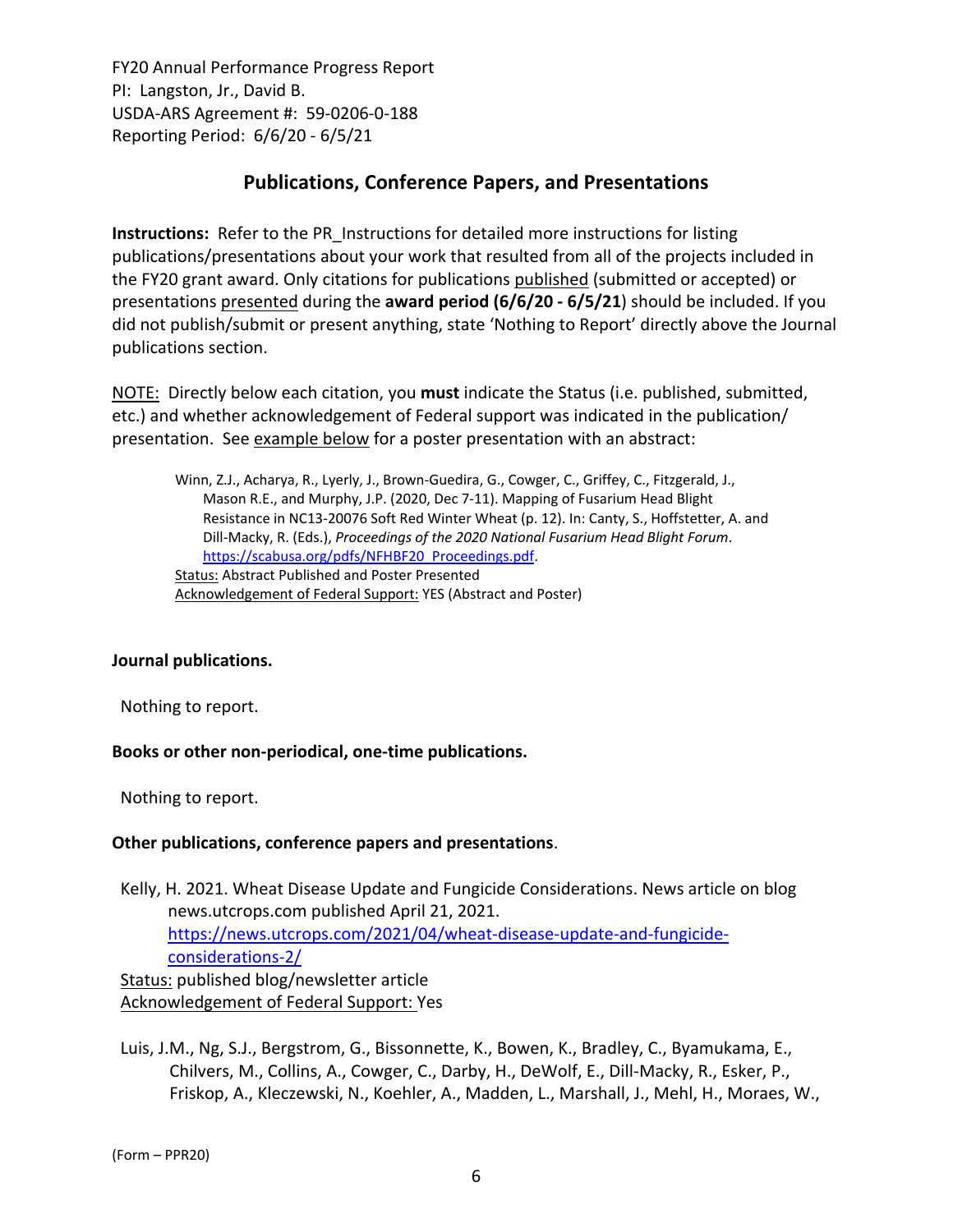## **Publications, Conference Papers, and Presentations**

**Instructions:** Refer to the PR\_Instructions for detailed more instructions for listing publications/presentations about your work that resulted from all of the projects included in the FY20 grant award. Only citations for publications published (submitted or accepted) or presentations presented during the **award period (6/6/20 ‐ 6/5/21**) should be included. If you did not publish/submit or present anything, state 'Nothing to Report' directly above the Journal publications section.

NOTE: Directly below each citation, you **must** indicate the Status (i.e. published, submitted, etc.) and whether acknowledgement of Federal support was indicated in the publication/ presentation. See example below for a poster presentation with an abstract:

Winn, Z.J., Acharya, R., Lyerly, J., Brown‐Guedira, G., Cowger, C., Griffey, C., Fitzgerald, J., Mason R.E., and Murphy, J.P. (2020, Dec 7‐11). Mapping of Fusarium Head Blight Resistance in NC13‐20076 Soft Red Winter Wheat (p. 12). In: Canty, S., Hoffstetter, A. and Dill‐Macky, R. (Eds.), *Proceedings of the 2020 National Fusarium Head Blight Forum*. https://scabusa.org/pdfs/NFHBF20\_Proceedings.pdf. Status: Abstract Published and Poster Presented Acknowledgement of Federal Support: YES (Abstract and Poster)

## **Journal publications.**

Nothing to report.

#### **Books or other non‐periodical, one‐time publications.**

Nothing to report.

#### **Other publications, conference papers and presentations**.

Kelly, H. 2021. Wheat Disease Update and Fungicide Considerations. News article on blog news.utcrops.com published April 21, 2021. https://news.utcrops.com/2021/04/wheat-disease-update-and-fungicideconsiderations‐2/ Status: published blog/newsletter article Acknowledgement of Federal Support: Yes

Luis, J.M., Ng, S.J., Bergstrom, G., Bissonnette, K., Bowen, K., Bradley, C., Byamukama, E., Chilvers, M., Collins, A., Cowger, C., Darby, H., DeWolf, E., Dill‐Macky, R., Esker, P., Friskop, A., Kleczewski, N., Koehler, A., Madden, L., Marshall, J., Mehl, H., Moraes, W.,